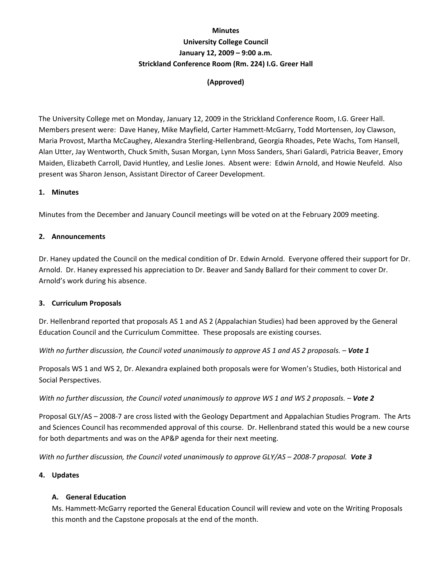# **Minutes University College Council January 12, 2009 – 9:00 a.m. Strickland Conference Room (Rm. 224) I.G. Greer Hall**

# **(Approved)**

The University College met on Monday, January 12, 2009 in the Strickland Conference Room, I.G. Greer Hall. Members present were: Dave Haney, Mike Mayfield, Carter Hammett‐McGarry, Todd Mortensen, Joy Clawson, Maria Provost, Martha McCaughey, Alexandra Sterling‐Hellenbrand, Georgia Rhoades, Pete Wachs, Tom Hansell, Alan Utter, Jay Wentworth, Chuck Smith, Susan Morgan, Lynn Moss Sanders, Shari Galardi, Patricia Beaver, Emory Maiden, Elizabeth Carroll, David Huntley, and Leslie Jones. Absent were: Edwin Arnold, and Howie Neufeld. Also present was Sharon Jenson, Assistant Director of Career Development.

## **1. Minutes**

Minutes from the December and January Council meetings will be voted on at the February 2009 meeting.

## **2. Announcements**

Dr. Haney updated the Council on the medical condition of Dr. Edwin Arnold. Everyone offered their support for Dr. Arnold. Dr. Haney expressed his appreciation to Dr. Beaver and Sandy Ballard for their comment to cover Dr. Arnold's work during his absence.

## **3. Curriculum Proposals**

Dr. Hellenbrand reported that proposals AS 1 and AS 2 (Appalachian Studies) had been approved by the General Education Council and the Curriculum Committee. These proposals are existing courses.

With no further discussion, the Council voted unanimously to approve AS 1 and AS 2 proposals. - Vote 1

Proposals WS 1 and WS 2, Dr. Alexandra explained both proposals were for Women's Studies, both Historical and Social Perspectives.

## With no further discussion, the Council voted unanimously to approve WS 1 and WS 2 proposals. - Vote 2

Proposal GLY/AS – 2008‐7 are cross listed with the Geology Department and Appalachian Studies Program. The Arts and Sciences Council has recommended approval of this course. Dr. Hellenbrand stated this would be a new course for both departments and was on the AP&P agenda for their next meeting.

With no further discussion, the Council voted unanimously to approve GLY/AS - 2008-7 proposal. Vote 3

## **4. Updates**

## **A. General Education**

Ms. Hammett‐McGarry reported the General Education Council will review and vote on the Writing Proposals this month and the Capstone proposals at the end of the month.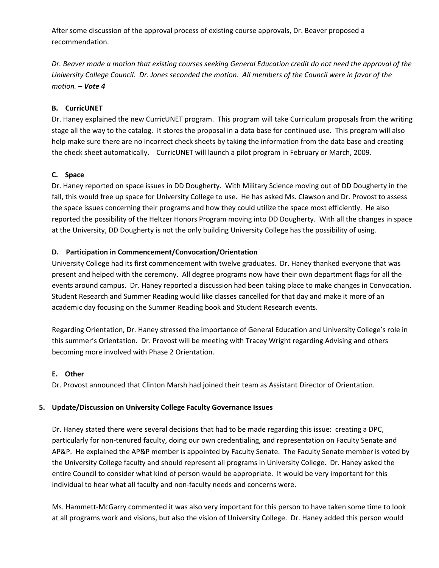After some discussion of the approval process of existing course approvals, Dr. Beaver proposed a recommendation.

Dr. Beaver made a motion that existing courses seeking General Education credit do not need the approval of the University College Council. Dr. Jones seconded the motion. All members of the Council were in favor of the *motion. – Vote 4*

## **B. CurricUNET**

Dr. Haney explained the new CurricUNET program. This program will take Curriculum proposals from the writing stage all the way to the catalog. It stores the proposal in a data base for continued use. This program will also help make sure there are no incorrect check sheets by taking the information from the data base and creating the check sheet automatically. CurricUNET will launch a pilot program in February or March, 2009.

## **C. Space**

Dr. Haney reported on space issues in DD Dougherty. With Military Science moving out of DD Dougherty in the fall, this would free up space for University College to use. He has asked Ms. Clawson and Dr. Provost to assess the space issues concerning their programs and how they could utilize the space most efficiently. He also reported the possibility of the Heltzer Honors Program moving into DD Dougherty. With all the changes in space at the University, DD Dougherty is not the only building University College has the possibility of using.

## **D. Participation in Commencement/Convocation/Orientation**

University College had its first commencement with twelve graduates. Dr. Haney thanked everyone that was present and helped with the ceremony. All degree programs now have their own department flags for all the events around campus. Dr. Haney reported a discussion had been taking place to make changes in Convocation. Student Research and Summer Reading would like classes cancelled for that day and make it more of an academic day focusing on the Summer Reading book and Student Research events.

Regarding Orientation, Dr. Haney stressed the importance of General Education and University College's role in this summer's Orientation. Dr. Provost will be meeting with Tracey Wright regarding Advising and others becoming more involved with Phase 2 Orientation.

## **E. Other**

Dr. Provost announced that Clinton Marsh had joined their team as Assistant Director of Orientation.

## **5. Update/Discussion on University College Faculty Governance Issues**

Dr. Haney stated there were several decisions that had to be made regarding this issue: creating a DPC, particularly for non‐tenured faculty, doing our own credentialing, and representation on Faculty Senate and AP&P. He explained the AP&P member is appointed by Faculty Senate. The Faculty Senate member is voted by the University College faculty and should represent all programs in University College. Dr. Haney asked the entire Council to consider what kind of person would be appropriate. It would be very important for this individual to hear what all faculty and non-faculty needs and concerns were.

Ms. Hammett‐McGarry commented it was also very important for this person to have taken some time to look at all programs work and visions, but also the vision of University College. Dr. Haney added this person would